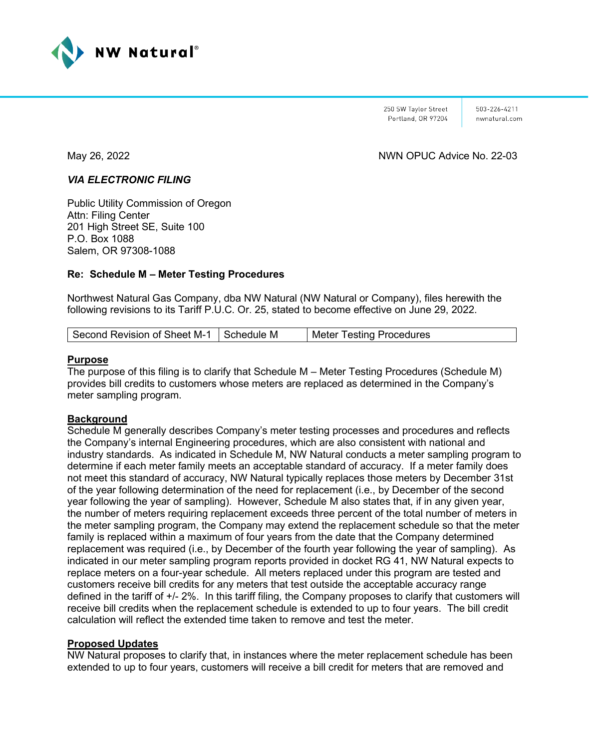

250 SW Taylor Street Portland, OR 97204 503-226-4211 nwnatural com

May 26, 2022 NWN OPUC Advice No. 22-03

#### *VIA ELECTRONIC FILING*

Public Utility Commission of Oregon Attn: Filing Center 201 High Street SE, Suite 100 P.O. Box 1088 Salem, OR 97308-1088

### **Re: Schedule M – Meter Testing Procedures**

Northwest Natural Gas Company, dba NW Natural (NW Natural or Company), files herewith the following revisions to its Tariff P.U.C. Or. 25, stated to become effective on June 29, 2022.

| Second Revision of Sheet M-1   Schedule M | Meter Testing Procedures |
|-------------------------------------------|--------------------------|
|-------------------------------------------|--------------------------|

#### **Purpose**

The purpose of this filing is to clarify that Schedule M – Meter Testing Procedures (Schedule M) provides bill credits to customers whose meters are replaced as determined in the Company's meter sampling program.

#### **Background**

Schedule M generally describes Company's meter testing processes and procedures and reflects the Company's internal Engineering procedures, which are also consistent with national and industry standards. As indicated in Schedule M, NW Natural conducts a meter sampling program to determine if each meter family meets an acceptable standard of accuracy. If a meter family does not meet this standard of accuracy, NW Natural typically replaces those meters by December 31st of the year following determination of the need for replacement (i.e., by December of the second year following the year of sampling). However, Schedule M also states that, if in any given year, the number of meters requiring replacement exceeds three percent of the total number of meters in the meter sampling program, the Company may extend the replacement schedule so that the meter family is replaced within a maximum of four years from the date that the Company determined replacement was required (i.e., by December of the fourth year following the year of sampling). As indicated in our meter sampling program reports provided in docket RG 41, NW Natural expects to replace meters on a four-year schedule. All meters replaced under this program are tested and customers receive bill credits for any meters that test outside the acceptable accuracy range defined in the tariff of +/- 2%. In this tariff filing, the Company proposes to clarify that customers will receive bill credits when the replacement schedule is extended to up to four years. The bill credit calculation will reflect the extended time taken to remove and test the meter.

#### **Proposed Updates**

NW Natural proposes to clarify that, in instances where the meter replacement schedule has been extended to up to four years, customers will receive a bill credit for meters that are removed and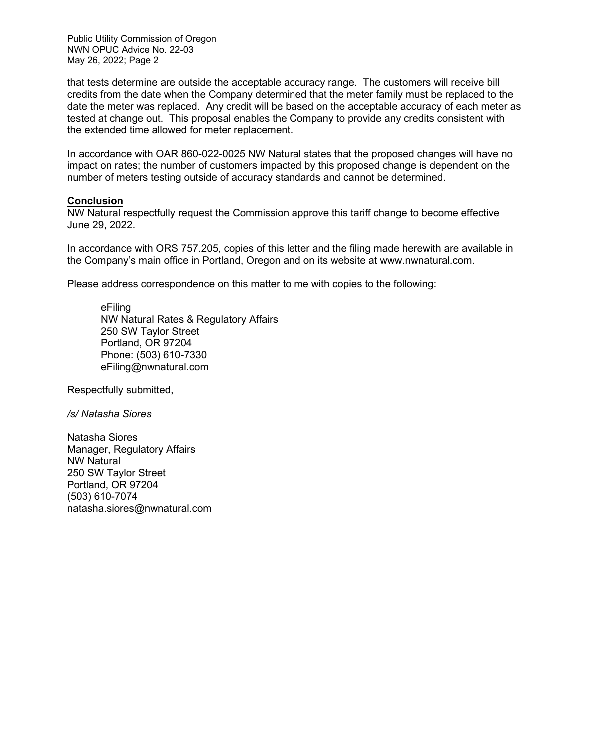Public Utility Commission of Oregon NWN OPUC Advice No. 22-03 May 26, 2022; Page 2

that tests determine are outside the acceptable accuracy range. The customers will receive bill credits from the date when the Company determined that the meter family must be replaced to the date the meter was replaced. Any credit will be based on the acceptable accuracy of each meter as tested at change out. This proposal enables the Company to provide any credits consistent with the extended time allowed for meter replacement.

In accordance with OAR 860-022-0025 NW Natural states that the proposed changes will have no impact on rates; the number of customers impacted by this proposed change is dependent on the number of meters testing outside of accuracy standards and cannot be determined.

#### **Conclusion**

NW Natural respectfully request the Commission approve this tariff change to become effective June 29, 2022.

In accordance with ORS 757.205, copies of this letter and the filing made herewith are available in the Company's main office in Portland, Oregon and on its website at [www.nwnatural.com.](http://www.nwnatural.com/)

Please address correspondence on this matter to me with copies to the following:

eFiling NW Natural Rates & Regulatory Affairs 250 SW Taylor Street Portland, OR 97204 Phone: (503) 610-7330 [eFiling@nwnatural.com](mailto:eFiling@nwnatural.com)

Respectfully submitted,

*/s/ Natasha Siores*

Natasha Siores Manager, Regulatory Affairs NW Natural 250 SW Taylor Street Portland, OR 97204 (503) 610-7074 natasha.siores@nwnatural.com